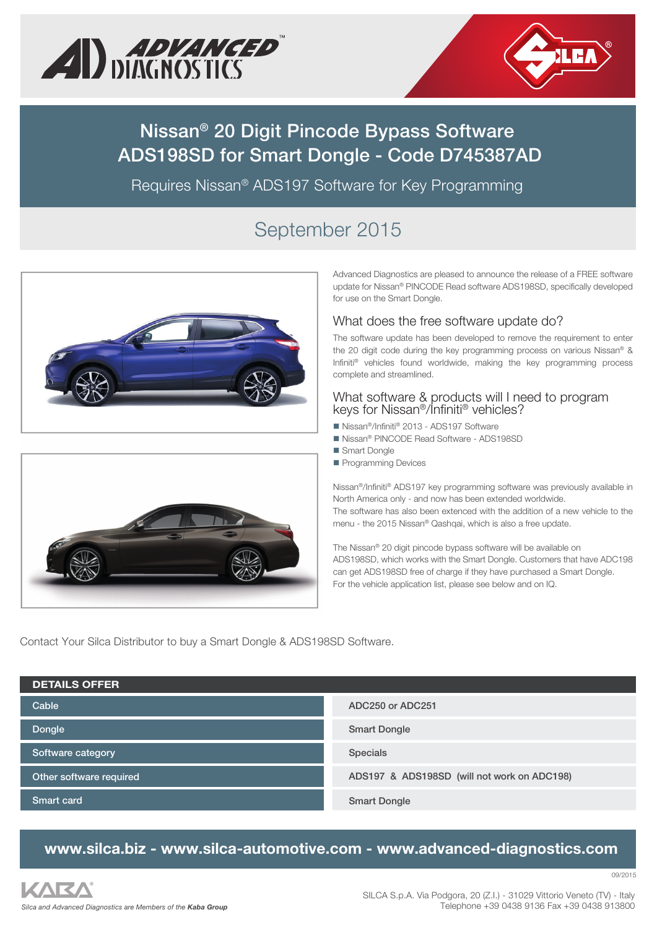



# **Nissan® 20 Digit Pincode Bypass Software ADS198SD for Smart Dongle - Code D745387AD**

Requires Nissan® ADS197 Software for Key Programming

# September 2015





Advanced Diagnostics are pleased to announce the release of a FREE software update for Nissan® PINCODE Read software ADS198SD, specifically developed for use on the Smart Dongle.

### What does the free software update do?

The software update has been developed to remove the requirement to enter the 20 digit code during the key programming process on various Nissan® & Infiniti® vehicles found worldwide, making the key programming process complete and streamlined.

### What software & products will I need to program keys for Nissan®/Infiniti® vehicles?

- Nissan<sup>®</sup>/Infiniti® 2013 ADS197 Software
	- Nissan® PINCODE Read Software ADS198SD
	- Smart Dongle
	- Programming Devices

Nissan®/Infiniti® ADS197 key programming software was previously available in North America only - and now has been extended worldwide. The software has also been extenced with the addition of a new vehicle to the menu - the 2015 Nissan® Qashqai, which is also a free update.

The Nissan® 20 digit pincode bypass software will be available on ADS198SD, which works with the Smart Dongle. Customers that have ADC198 can get ADS198SD free of charge if they have purchased a Smart Dongle. For the vehicle application list, please see below and on IQ.

Contact Your Silca Distributor to buy a Smart Dongle & ADS198SD Software.

| <b>DETAILS OFFER</b>    |                                             |
|-------------------------|---------------------------------------------|
| Cable                   | ADC250 or ADC251                            |
| Dongle                  | <b>Smart Dongle</b>                         |
| Software category       | <b>Specials</b>                             |
| Other software required | ADS197 & ADS198SD (will not work on ADC198) |
| <b>Smart card</b>       | <b>Smart Dongle</b>                         |

## **www.silca.biz - www.silca-automotive.com - www.advanced-diagnostics.com**

09/2015